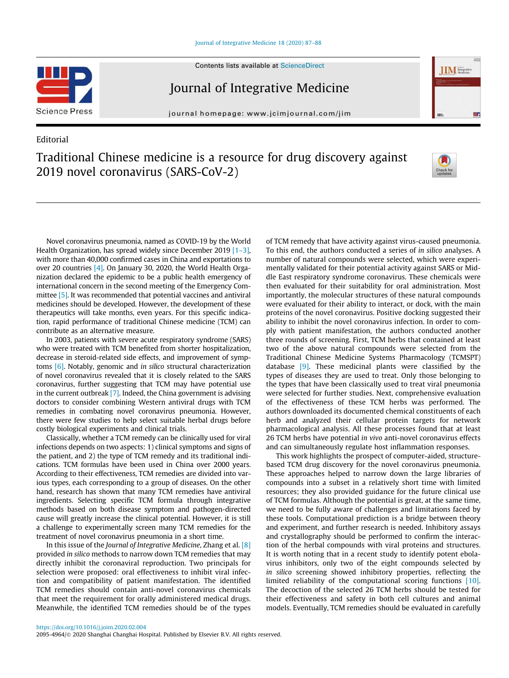#### [Journal of Integrative Medicine 18 \(2020\) 87–88](https://doi.org/10.1016/j.joim.2020.02.004)



# Journal of Integrative Medicine

journal homepage: [www.jcimjournal.com/jim](http://www.jcimjournal.com/jim)

# Editorial





In 2003, patients with severe acute respiratory syndrome (SARS) who were treated with TCM benefited from shorter hospitalization, decrease in steroid-related side effects, and improvement of symptoms [\[6\]](#page-1-0). Notably, genomic and in silico structural characterization of novel coronavirus revealed that it is closely related to the SARS coronavirus, further suggesting that TCM may have potential use in the current outbreak [\[7\]](#page-1-0). Indeed, the China government is advising doctors to consider combining Western antiviral drugs with TCM remedies in combating novel coronavirus pneumonia. However, there were few studies to help select suitable herbal drugs before costly biological experiments and clinical trials.

Classically, whether a TCM remedy can be clinically used for viral infections depends on two aspects: 1) clinical symptoms and signs of the patient, and 2) the type of TCM remedy and its traditional indications. TCM formulas have been used in China over 2000 years. According to their effectiveness, TCM remedies are divided into various types, each corresponding to a group of diseases. On the other hand, research has shown that many TCM remedies have antiviral ingredients. Selecting specific TCM formula through integrative methods based on both disease symptom and pathogen-directed cause will greatly increase the clinical potential. However, it is still a challenge to experimentally screen many TCM remedies for the treatment of novel coronavirus pneumonia in a short time.

In this issue of the Journal of Integrative Medicine, Zhang et al. [\[8\]](#page-1-0) provided in silico methods to narrow down TCM remedies that may directly inhibit the coronaviral reproduction. Two principals for selection were proposed: oral effectiveness to inhibit viral infection and compatibility of patient manifestation. The identified TCM remedies should contain anti-novel coronavirus chemicals that meet the requirement for orally administered medical drugs. Meanwhile, the identified TCM remedies should be of the types of TCM remedy that have activity against virus-caused pneumonia. To this end, the authors conducted a series of in silico analyses. A number of natural compounds were selected, which were experimentally validated for their potential activity against SARS or Middle East respiratory syndrome coronavirus. These chemicals were then evaluated for their suitability for oral administration. Most importantly, the molecular structures of these natural compounds were evaluated for their ability to interact, or dock, with the main proteins of the novel coronavirus. Positive docking suggested their ability to inhibit the novel coronavirus infection. In order to comply with patient manifestation, the authors conducted another three rounds of screening. First, TCM herbs that contained at least two of the above natural compounds were selected from the Traditional Chinese Medicine Systems Pharmacology (TCMSPT) database [\[9\].](#page-1-0) These medicinal plants were classified by the types of diseases they are used to treat. Only those belonging to the types that have been classically used to treat viral pneumonia were selected for further studies. Next, comprehensive evaluation of the effectiveness of these TCM herbs was performed. The authors downloaded its documented chemical constituents of each herb and analyzed their cellular protein targets for network pharmacological analysis. All these processes found that at least 26 TCM herbs have potential in vivo anti-novel coronavirus effects and can simultaneously regulate host inflammation responses.

**IIM** Material

This work highlights the prospect of computer-aided, structurebased TCM drug discovery for the novel coronavirus pneumonia. These approaches helped to narrow down the large libraries of compounds into a subset in a relatively short time with limited resources; they also provided guidance for the future clinical use of TCM formulas. Although the potential is great, at the same time, we need to be fully aware of challenges and limitations faced by these tools. Computational prediction is a bridge between theory and experiment, and further research is needed. Inhibitory assays and crystallography should be performed to confirm the interaction of the herbal compounds with viral proteins and structures. It is worth noting that in a recent study to identify potent ebolavirus inhibitors, only two of the eight compounds selected by in silico screening showed inhibitory properties, reflecting the limited reliability of the computational scoring functions [\[10\].](#page-1-0) The decoction of the selected 26 TCM herbs should be tested for their effectiveness and safety in both cell cultures and animal models. Eventually, TCM remedies should be evaluated in carefully

2095-4964/© 2020 Shanghai Changhai Hospital. Published by Elsevier B.V. All rights reserved.